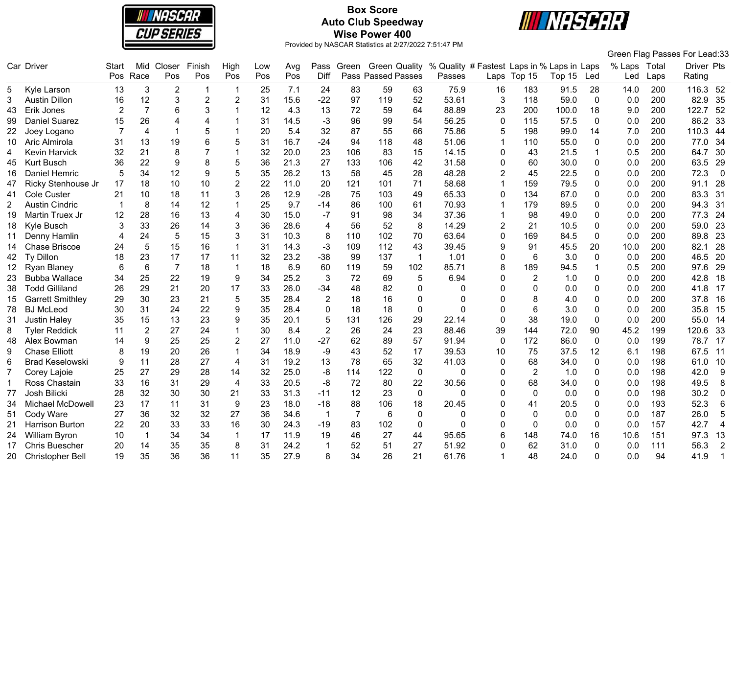

# **Box Score Auto Club Speedway Wise Power 400**



|                |                         |       |                 |                |                  |                |     |      |                |                |                           |              |                                            |                 |                |        |              |              |      | Green Flag Passes For Lead:33 |
|----------------|-------------------------|-------|-----------------|----------------|------------------|----------------|-----|------|----------------|----------------|---------------------------|--------------|--------------------------------------------|-----------------|----------------|--------|--------------|--------------|------|-------------------------------|
|                | Car Driver              | Start |                 | Mid Closer     | Finish           | High           | Low | Avg  |                | Pass Green     | <b>Green Quality</b>      |              | % Quality # Fastest Laps in % Laps in Laps |                 |                |        |              | % Laps Total |      | Driver Pts                    |
|                |                         | Pos   | Race            | Pos            | Pos              | Pos            | Pos | Pos  | Diff           |                | <b>Pass Passed Passes</b> |              | Passes                                     |                 | Laps Top 15    | Top 15 | Led          | Led          | Laps | Rating                        |
| 5              | Kyle Larson             | 13    | 3               | $\overline{2}$ | -1               | $\mathbf 1$    | 25  | 7.1  | 24             | 83             | 59                        | 63           | 75.9                                       | 16              | 183            | 91.5   | 28           | 14.0         | 200  | 116.3 52                      |
| 3              | <b>Austin Dillon</b>    | 16    | 12              | 3              | $\overline{2}$   | $\overline{2}$ | 31  | 15.6 | $-22$          | 97             | 119                       | 52           | 53.61                                      | 3               | 118            | 59.0   | $\mathbf 0$  | 0.0          | 200  | 82.9<br>35                    |
| 43             | Erik Jones              | 2     | $\overline{7}$  | 6              | 3                |                | 12  | 4.3  | 13             | 72             | 59                        | 64           | 88.89                                      | 23              | 200            | 100.0  | 18           | 9.0          | 200  | 122.7<br>52                   |
| 99             | <b>Daniel Suarez</b>    | 15    | 26              | $\Delta$       | 4                |                | 31  | 14.5 | $-3$           | 96             | 99                        | 54           | 56.25                                      | $\Omega$        | 115            | 57.5   | $\Omega$     | 0.0          | 200  | 86.2<br>33                    |
| 22             | Joey Logano             | 7     | $\overline{4}$  |                | 5                |                | 20  | 5.4  | 32             | 87             | 55                        | 66           | 75.86                                      | 5               | 198            | 99.0   | 14           | 7.0          | 200  | 110.3<br>44                   |
| 10             | Aric Almirola           | 31    | 13              | 19             | 6                | 5              | 31  | 16.7 | $-24$          | 94             | 118                       | 48           | 51.06                                      | $\mathbf{1}$    | 110            | 55.0   | $\mathbf 0$  | 0.0          | 200  | 77.0<br>34                    |
| 4              | <b>Kevin Harvick</b>    | 32    | 21              | 8              |                  |                | 32  | 20.0 | 23             | 106            | 83                        | 15           | 14.15                                      | $\mathbf{0}$    | 43             | 21.5   | 1            | 0.5          | 200  | 64.7<br>30                    |
| 45             | <b>Kurt Busch</b>       | 36    | 22              | 9              | 8                | 5              | 36  | 21.3 | 27             | 133            | 106                       | 42           | 31.58                                      | $\mathbf{0}$    | 60             | 30.0   | 0            | 0.0          | 200  | 63.5<br>29                    |
| 16             | Daniel Hemric           | 5     | 34              | 12             | $\boldsymbol{9}$ | 5              | 35  | 26.2 | 13             | 58             | 45                        | 28           | 48.28                                      | $\overline{2}$  | 45             | 22.5   | 0            | 0.0          | 200  | 72.3<br>$\overline{0}$        |
| 47             | Ricky Stenhouse Jr      | 17    | 18              | 10             | 10               | $\overline{2}$ | 22  | 11.0 | 20             | 121            | 101                       | 71           | 58.68                                      | $\mathbf{1}$    | 159            | 79.5   | 0            | 0.0          | 200  | 28<br>91.1                    |
| 41             | Cole Custer             | 21    | 10              | 18             | 11               | 3              | 26  | 12.9 | $-28$          | 75             | 103                       | 49           | 65.33                                      | $\Omega$        | 134            | 67.0   | 0            | 0.0          | 200  | 83.3<br>31                    |
| $\overline{2}$ | <b>Austin Cindric</b>   |       | 8               | 14             | 12               |                | 25  | 9.7  | $-14$          | 86             | 100                       | 61           | 70.93                                      | $\overline{1}$  | 179            | 89.5   | $\Omega$     | 0.0          | 200  | 94.3<br>31                    |
| 19             | Martin Truex Jr         | 12    | 28              | 16             | 13               | 4              | 30  | 15.0 | -7             | 91             | 98                        | 34           | 37.36                                      |                 | 98             | 49.0   | 0            | 0.0          | 200  | 24<br>77.3                    |
| 18             | Kyle Busch              | 3     | 33              | 26             | 14               | 3              | 36  | 28.6 | $\overline{4}$ | 56             | 52                        | 8            | 14.29                                      | $\overline{2}$  | 21             | 10.5   | $\Omega$     | 0.0          | 200  | 23<br>59.0                    |
| 11             | Denny Hamlin            | 4     | 24              | 5              | 15               | 3              | 31  | 10.3 | 8              | 110            | 102                       | 70           | 63.64                                      | $\mathbf 0$     | 169            | 84.5   | $\mathbf{0}$ | 0.0          | 200  | 23<br>89.8                    |
| 14             | Chase Briscoe           | 24    | 5               | 15             | 16               | $\mathbf{1}$   | 31  | 14.3 | $-3$           | 109            | 112                       | 43           | 39.45                                      | 9               | 91             | 45.5   | 20           | 10.0         | 200  | 82.1<br>28                    |
| 42             | Ty Dillon               | 18    | 23              | 17             | 17               | 11             | 32  | 23.2 | $-38$          | 99             | 137                       | $\mathbf{1}$ | 1.01                                       | 0               | $\,6\,$        | 3.0    | $\mathbf{0}$ | 0.0          | 200  | 20<br>46.5                    |
| 12             | <b>Ryan Blaney</b>      | 6     | $6\phantom{1}6$ | $\overline{7}$ | 18               | $\mathbf 1$    | 18  | 6.9  | 60             | 119            | 59                        | 102          | 85.71                                      | 8               | 189            | 94.5   |              | 0.5          | 200  | 29<br>97.6                    |
| 23             | <b>Bubba Wallace</b>    | 34    | 25              | 22             | 19               | 9              | 34  | 25.2 | 3              | 72             | 69                        | 5            | 6.94                                       | $\Omega$        | $\overline{c}$ | 1.0    | 0            | 0.0          | 200  | 42.8<br>18                    |
| 38             | <b>Todd Gilliland</b>   | 26    | 29              | 21             | 20               | 17             | 33  | 26.0 | $-34$          | 48             | 82                        | $\mathbf{0}$ | 0                                          | $\Omega$        | 0              | 0.0    | 0            | 0.0          | 200  | 41.8<br>17                    |
| 15             | <b>Garrett Smithley</b> | 29    | 30              | 23             | 21               | 5              | 35  | 28.4 | $\overline{2}$ | 18             | 16                        | 0            | 0                                          | $\Omega$        | 8              | 4.0    | 0            | 0.0          | 200  | 37.8<br>16                    |
| 78             | <b>BJ</b> McLeod        | 30    | 31              | 24             | 22               | 9              | 35  | 28.4 | $\Omega$       | 18             | 18                        | $\mathbf 0$  | O                                          | $\Omega$        | 6              | 3.0    | 0            | 0.0          | 200  | 35.8<br>15                    |
| 31             | <b>Justin Haley</b>     | 35    | 15              | 13             | 23               | 9              | 35  | 20.1 | 5              | 131            | 126                       | 29           | 22.14                                      | $\Omega$        | 38             | 19.0   | 0            | 0.0          | 200  | 55.0<br>14                    |
| 8              | <b>Tyler Reddick</b>    | 11    | $\overline{2}$  | 27             | 24               | $\mathbf{1}$   | 30  | 8.4  | $\overline{2}$ | 26             | 24                        | 23           | 88.46                                      | 39              | 144            | 72.0   | 90           | 45.2         | 199  | 120.6<br>33                   |
| 48             | Alex Bowman             | 14    | 9               | 25             | 25               | $\overline{2}$ | 27  | 11.0 | $-27$          | 62             | 89                        | 57           | 91.94                                      | $\mathbf{0}$    | 172            | 86.0   | $\mathbf{0}$ | 0.0          | 199  | 78.7<br>17                    |
| 9              | <b>Chase Elliott</b>    | 8     | 19              | 20             | 26               | 1              | 34  | 18.9 | $-9$           | 43             | 52                        | 17           | 39.53                                      | 10              | 75             | 37.5   | 12           | 6.1          | 198  | 67.5<br>11                    |
| 6              | <b>Brad Keselowski</b>  | 9     | 11              | 28             | 27               | $\overline{4}$ | 31  | 19.2 | 13             | 78             | 65                        | 32           | 41.03                                      | 0               | 68             | 34.0   | 0            | 0.0          | 198  | 10<br>61.0                    |
| 7              | Corey Lajoie            | 25    | 27              | 29             | 28               | 14             | 32  | 25.0 | $-8$           | 114            | 122                       | $\mathbf 0$  | 0                                          | $\mathbf{0}$    | $\overline{2}$ | 1.0    | 0            | 0.0          | 198  | 9<br>42.0                     |
| -1             | Ross Chastain           | 33    | 16              | 31             | 29               | $\overline{4}$ | 33  | 20.5 | -8             | 72             | 80                        | 22           | 30.56                                      | $\Omega$        | 68             | 34.0   | 0            | 0.0          | 198  | 49.5<br>8                     |
| 77             | Josh Bilicki            | 28    | 32              | 30             | 30               | 21             | 33  | 31.3 | $-11$          | 12             | 23                        | $\mathbf 0$  | 0                                          | $\Omega$        | $\mathbf 0$    | 0.0    | $\Omega$     | 0.0          | 198  | 30.2<br>$\mathbf 0$           |
| 34             | Michael McDowell        | 23    | 17              | 11             | 31               | 9              | 23  | 18.0 | $-18$          | 88             | 106                       | 18           | 20.45                                      | $\Omega$        | 41             | 20.5   | 0            | 0.0          | 193  | 52.3<br>$\,6$                 |
| 51             | Cody Ware               | 27    | 36              | 32             | 32               | 27             | 36  | 34.6 | -1             | $\overline{7}$ | 6                         | $\mathbf{0}$ | 0                                          | $\Omega$        | 0              | 0.0    | 0            | 0.0          | 187  | 5<br>26.0                     |
| 21             | <b>Harrison Burton</b>  | 22    | 20              | 33             | 33               | 16             | 30  | 24.3 | $-19$          | 83             | 102                       | $\mathbf{0}$ | 0                                          | $\Omega$        | $\mathbf{0}$   | 0.0    | 0            | 0.0          | 157  | $\overline{4}$<br>42.7        |
| 24             | William Byron           | 10    | $\overline{1}$  | 34             | 34               | 1              | 17  | 11.9 | 19             | 46             | 27                        | 44           | 95.65                                      | $6\phantom{1}6$ | 148            | 74.0   | 16           | 10.6         | 151  | 97.3<br>13                    |
| 17             | <b>Chris Buescher</b>   | 20    | 14              | 35             | 35               | 8              | 31  | 24.2 | -1             | 52             | 51                        | 27           | 51.92                                      | $\Omega$        | 62             | 31.0   | 0            | 0.0          | 111  | 56.3<br>$\overline{2}$        |
| 20             | <b>Christopher Bell</b> | 19    | 35              | 36             | 36               | 11             | 35  | 27.9 | 8              | 34             | 26                        | 21           | 61.76                                      |                 | 48             | 24.0   | $\Omega$     | 0.0          | 94   | 41.9                          |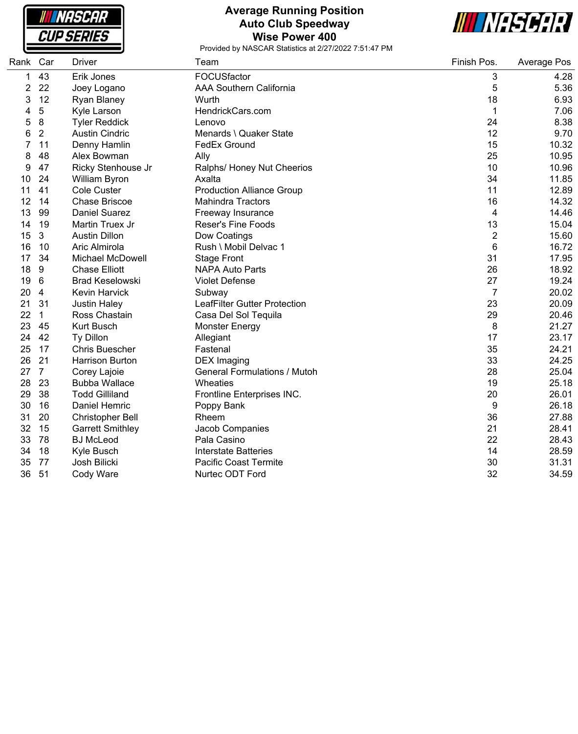| <b>NASCAR</b>     |  |
|-------------------|--|
| <i>CUP SERIES</i> |  |

#### **Average Running Position Auto Club Speedway Wise Power 400**



| Rank | Car            | <b>Driver</b>           | Team                                | Finish Pos.    | Average Pos |
|------|----------------|-------------------------|-------------------------------------|----------------|-------------|
| 1    | 43             | Erik Jones              | FOCUSfactor                         | 3              | 4.28        |
| 2    | 22             | Joey Logano             | <b>AAA Southern California</b>      | 5              | 5.36        |
| 3    | 12             | Ryan Blaney             | Wurth                               | 18             | 6.93        |
| 4    | 5              | Kyle Larson             | HendrickCars.com                    | $\mathbf 1$    | 7.06        |
| 5    | 8              | <b>Tyler Reddick</b>    | Lenovo                              | 24             | 8.38        |
| 6    | $\overline{2}$ | <b>Austin Cindric</b>   | Menards \ Quaker State              | 12             | 9.70        |
| 7    | 11             | Denny Hamlin            | <b>FedEx Ground</b>                 | 15             | 10.32       |
| 8    | 48             | Alex Bowman             | Ally                                | 25             | 10.95       |
| 9    | 47             | Ricky Stenhouse Jr      | Ralphs/ Honey Nut Cheerios          | 10             | 10.96       |
| 10   | 24             | William Byron           | Axalta                              | 34             | 11.85       |
| 11   | 41             | <b>Cole Custer</b>      | <b>Production Alliance Group</b>    | 11             | 12.89       |
| 12   | 14             | <b>Chase Briscoe</b>    | <b>Mahindra Tractors</b>            | 16             | 14.32       |
| 13   | 99             | <b>Daniel Suarez</b>    | Freeway Insurance                   | 4              | 14.46       |
| 14   | 19             | Martin Truex Jr         | <b>Reser's Fine Foods</b>           | 13             | 15.04       |
| 15   | 3              | <b>Austin Dillon</b>    | Dow Coatings                        | $\overline{2}$ | 15.60       |
| 16   | 10             | Aric Almirola           | Rush \ Mobil Delvac 1               | 6              | 16.72       |
| 17   | 34             | <b>Michael McDowell</b> | <b>Stage Front</b>                  | 31             | 17.95       |
| 18   | 9              | <b>Chase Elliott</b>    | <b>NAPA Auto Parts</b>              | 26             | 18.92       |
| 19   | 6              | <b>Brad Keselowski</b>  | <b>Violet Defense</b>               | 27             | 19.24       |
| 20   | 4              | <b>Kevin Harvick</b>    | Subway                              | 7              | 20.02       |
| 21   | 31             | <b>Justin Haley</b>     | <b>LeafFilter Gutter Protection</b> | 23             | 20.09       |
| 22   | $\mathbf{1}$   | Ross Chastain           | Casa Del Sol Tequila                | 29             | 20.46       |
| 23   | 45             | <b>Kurt Busch</b>       | <b>Monster Energy</b>               | 8              | 21.27       |
| 24   | 42             | Ty Dillon               | Allegiant                           | 17             | 23.17       |
| 25   | 17             | <b>Chris Buescher</b>   | Fastenal                            | 35             | 24.21       |
| 26   | 21             | Harrison Burton         | <b>DEX</b> Imaging                  | 33             | 24.25       |
| 27   | $\overline{7}$ | Corey Lajoie            | <b>General Formulations / Mutoh</b> | 28             | 25.04       |
| 28   | 23             | <b>Bubba Wallace</b>    | Wheaties                            | 19             | 25.18       |
| 29   | 38             | <b>Todd Gilliland</b>   | Frontline Enterprises INC.          | 20             | 26.01       |
| 30   | 16             | <b>Daniel Hemric</b>    | Poppy Bank                          | 9              | 26.18       |
| 31   | 20             | <b>Christopher Bell</b> | Rheem                               | 36             | 27.88       |
| 32   | 15             | <b>Garrett Smithley</b> | Jacob Companies                     | 21             | 28.41       |
| 33   | 78             | <b>BJ</b> McLeod        | Pala Casino                         | 22             | 28.43       |
| 34   | 18             | Kyle Busch              | <b>Interstate Batteries</b>         | 14             | 28.59       |
| 35   | 77             | Josh Bilicki            | Pacific Coast Termite               | 30             | 31.31       |
| 36   | 51             | Cody Ware               | Nurtec ODT Ford                     | 32             | 34.59       |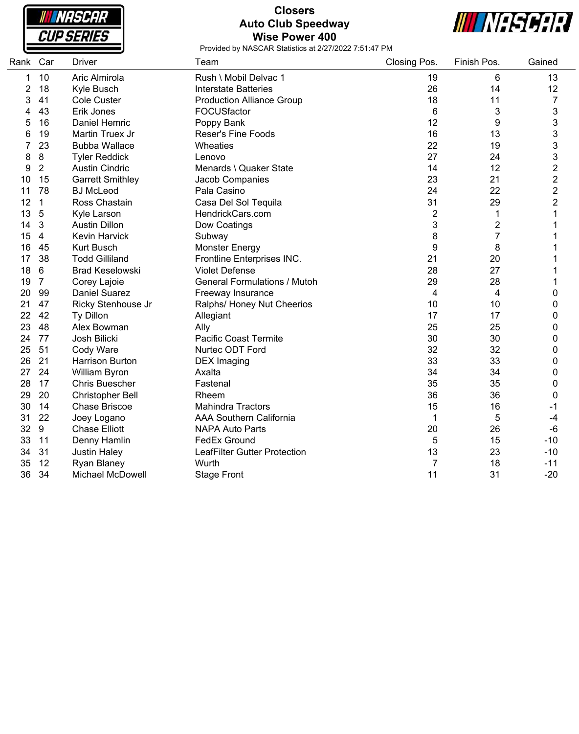| NASCAR            |  |
|-------------------|--|
| <b>CUP SERIES</b> |  |

### **Closers Auto Club Speedway Wise Power 400**



| Rank Car |                 | <b>Driver</b>           | Team                                | Closing Pos.   | Finish Pos.    | Gained           |
|----------|-----------------|-------------------------|-------------------------------------|----------------|----------------|------------------|
| 1        | 10              | Aric Almirola           | Rush \ Mobil Delvac 1               | 19             | 6              | 13               |
| 2        | 18              | Kyle Busch              | <b>Interstate Batteries</b>         | 26             | 14             | 12               |
| 3        | 41              | Cole Custer             | <b>Production Alliance Group</b>    | 18             | 11             | $\overline{7}$   |
| 4        | 43              | Erik Jones              | FOCUSfactor                         | 6              | 3              | 3                |
| 5        | 16              | Daniel Hemric           | Poppy Bank                          | 12             | 9              | 3                |
| 6        | 19              | Martin Truex Jr         | <b>Reser's Fine Foods</b>           | 16             | 13             | 3                |
| 7        | 23              | <b>Bubba Wallace</b>    | Wheaties                            | 22             | 19             | 3                |
| 8        | 8               | <b>Tyler Reddick</b>    | Lenovo                              | 27             | 24             | 3                |
| 9        | $\overline{2}$  | <b>Austin Cindric</b>   | Menards \ Quaker State              | 14             | 12             | $\overline{c}$   |
| 10       | 15              | <b>Garrett Smithley</b> | Jacob Companies                     | 23             | 21             | $\overline{c}$   |
| 11       | 78              | <b>BJ</b> McLeod        | Pala Casino                         | 24             | 22             | $\overline{c}$   |
| 12       | $\mathbf{1}$    | Ross Chastain           | Casa Del Sol Tequila                | 31             | 29             | $\overline{2}$   |
| 13       | 5               | Kyle Larson             | HendrickCars.com                    | $\overline{2}$ | 1              |                  |
| 14       | $\mathbf{3}$    | <b>Austin Dillon</b>    | Dow Coatings                        | 3              | $\overline{2}$ |                  |
| 15       | $\overline{4}$  | Kevin Harvick           | Subway                              | 8              | 7              |                  |
| 16       | 45              | Kurt Busch              | <b>Monster Energy</b>               | 9              | 8              |                  |
| 17       | 38              | <b>Todd Gilliland</b>   | Frontline Enterprises INC.          | 21             | 20             |                  |
| 18       | $6\phantom{1}6$ | <b>Brad Keselowski</b>  | <b>Violet Defense</b>               | 28             | 27             |                  |
| 19       | $\overline{7}$  | Corey Lajoie            | <b>General Formulations / Mutoh</b> | 29             | 28             |                  |
| 20       | 99              | <b>Daniel Suarez</b>    | Freeway Insurance                   | 4              | 4              | 0                |
| 21       | 47              | Ricky Stenhouse Jr      | Ralphs/ Honey Nut Cheerios          | 10             | 10             | $\boldsymbol{0}$ |
| 22       | 42              | Ty Dillon               | Allegiant                           | 17             | 17             | 0                |
| 23       | 48              | Alex Bowman             | Ally                                | 25             | 25             | 0                |
| 24       | 77              | Josh Bilicki            | <b>Pacific Coast Termite</b>        | 30             | 30             | 0                |
| 25       | 51              | Cody Ware               | Nurtec ODT Ford                     | 32             | 32             | 0                |
| 26       | 21              | Harrison Burton         | <b>DEX</b> Imaging                  | 33             | 33             | 0                |
| 27       | 24              | William Byron           | Axalta                              | 34             | 34             | 0                |
| 28       | 17              | <b>Chris Buescher</b>   | Fastenal                            | 35             | 35             | 0                |
| 29       | 20              | <b>Christopher Bell</b> | Rheem                               | 36             | 36             | 0                |
| 30       | 14              | <b>Chase Briscoe</b>    | <b>Mahindra Tractors</b>            | 15             | 16             | -1               |
| 31       | 22              | Joey Logano             | <b>AAA Southern California</b>      | 1              | 5              | -4               |
| 32       | 9               | <b>Chase Elliott</b>    | <b>NAPA Auto Parts</b>              | 20             | 26             | $-6$             |
| 33       | 11              | Denny Hamlin            | FedEx Ground                        | 5              | 15             | $-10$            |
| 34       | 31              | <b>Justin Haley</b>     | LeafFilter Gutter Protection        | 13             | 23             | $-10$            |
| 35       | 12              | Ryan Blaney             | Wurth                               | $\overline{7}$ | 18             | $-11$            |
| 36       | 34              | <b>Michael McDowell</b> | <b>Stage Front</b>                  | 11             | 31             | $-20$            |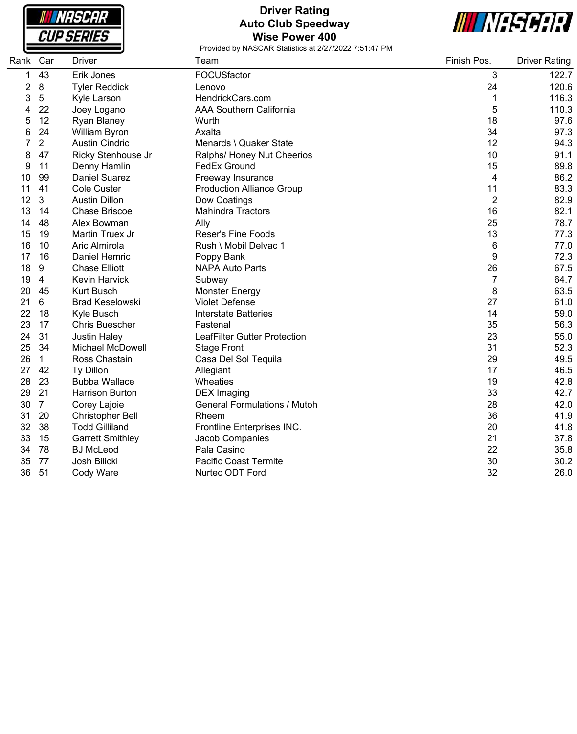

## **Driver Rating Auto Club Speedway Wise Power 400**



| Rank | Car            | <b>Driver</b>           | Team                                | Finish Pos. | <b>Driver Rating</b> |
|------|----------------|-------------------------|-------------------------------------|-------------|----------------------|
| 1    | 43             | Erik Jones              | FOCUSfactor                         | 3           | 122.7                |
| 2    | 8              | <b>Tyler Reddick</b>    | Lenovo                              | 24          | 120.6                |
| 3    | 5              | Kyle Larson             | HendrickCars.com                    | 1           | 116.3                |
| 4    | 22             | Joey Logano             | <b>AAA Southern California</b>      | 5           | 110.3                |
| 5    | 12             | Ryan Blaney             | Wurth                               | 18          | 97.6                 |
| 6    | 24             | William Byron           | Axalta                              | 34          | 97.3                 |
|      | $\overline{2}$ | <b>Austin Cindric</b>   | Menards \ Quaker State              | 12          | 94.3                 |
| 8    | 47             | Ricky Stenhouse Jr      | Ralphs/ Honey Nut Cheerios          | 10          | 91.1                 |
| 9    | 11             | Denny Hamlin            | <b>FedEx Ground</b>                 | 15          | 89.8                 |
| 10   | 99             | <b>Daniel Suarez</b>    | Freeway Insurance                   | 4           | 86.2                 |
| 11   | 41             | Cole Custer             | <b>Production Alliance Group</b>    | 11          | 83.3                 |
| 12   | $\mathbf{3}$   | <b>Austin Dillon</b>    | Dow Coatings                        | 2           | 82.9                 |
| 13   | 14             | <b>Chase Briscoe</b>    | <b>Mahindra Tractors</b>            | 16          | 82.1                 |
| 14   | 48             | Alex Bowman             | Ally                                | 25          | 78.7                 |
| 15   | 19             | Martin Truex Jr         | <b>Reser's Fine Foods</b>           | 13          | 77.3                 |
| 16   | 10             | Aric Almirola           | Rush \ Mobil Delvac 1               | 6           | 77.0                 |
| 17   | 16             | Daniel Hemric           | Poppy Bank                          | 9           | 72.3                 |
| 18   | 9              | <b>Chase Elliott</b>    | <b>NAPA Auto Parts</b>              | 26          | 67.5                 |
| 19   | 4              | <b>Kevin Harvick</b>    | Subway                              | 7           | 64.7                 |
| 20   | 45             | <b>Kurt Busch</b>       | <b>Monster Energy</b>               | 8           | 63.5                 |
| 21   | 6              | <b>Brad Keselowski</b>  | <b>Violet Defense</b>               | 27          | 61.0                 |
| 22   | 18             | Kyle Busch              | <b>Interstate Batteries</b>         | 14          | 59.0                 |
| 23   | 17             | <b>Chris Buescher</b>   | Fastenal                            | 35          | 56.3                 |
| 24   | 31             | <b>Justin Haley</b>     | <b>LeafFilter Gutter Protection</b> | 23          | 55.0                 |
| 25   | 34             | <b>Michael McDowell</b> | <b>Stage Front</b>                  | 31          | 52.3                 |
| 26   | $\mathbf{1}$   | Ross Chastain           | Casa Del Sol Tequila                | 29          | 49.5                 |
| 27   | 42             | Ty Dillon               | Allegiant                           | 17          | 46.5                 |
| 28   | 23             | <b>Bubba Wallace</b>    | Wheaties                            | 19          | 42.8                 |
| 29   | 21             | <b>Harrison Burton</b>  | <b>DEX</b> Imaging                  | 33          | 42.7                 |
| 30   | $\overline{7}$ | Corey Lajoie            | <b>General Formulations / Mutoh</b> | 28          | 42.0                 |
| 31   | 20             | <b>Christopher Bell</b> | Rheem                               | 36          | 41.9                 |
| 32   | 38             | <b>Todd Gilliland</b>   | Frontline Enterprises INC.          | 20          | 41.8                 |
| 33   | 15             | <b>Garrett Smithley</b> | Jacob Companies                     | 21          | 37.8                 |
| 34   | 78             | <b>BJ McLeod</b>        | Pala Casino                         | 22          | 35.8                 |
| 35   | 77             | Josh Bilicki            | <b>Pacific Coast Termite</b>        | 30          | 30.2                 |
| 36   | 51             | Cody Ware               | Nurtec ODT Ford                     | 32          | 26.0                 |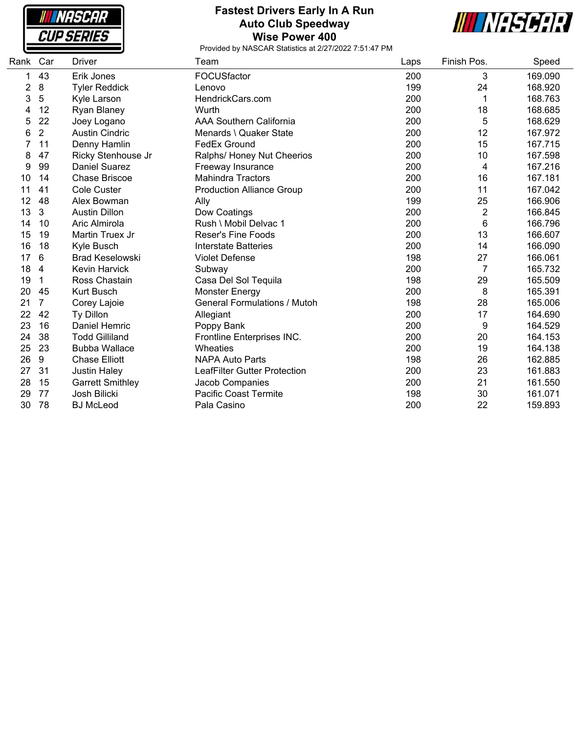| LHK              |  |
|------------------|--|
| SERIE<br>-5<br>↩ |  |

#### **Fastest Drivers Early In A Run Auto Club Speedway Wise Power 400**



| Rank           | Car            | <b>Driver</b>           | Team                                | Laps | Finish Pos. | Speed   |
|----------------|----------------|-------------------------|-------------------------------------|------|-------------|---------|
| 1              | 43             | Erik Jones              | FOCUSfactor                         | 200  | 3           | 169.090 |
| $\overline{c}$ | 8              | <b>Tyler Reddick</b>    | Lenovo                              | 199  | 24          | 168.920 |
| 3              | 5              | Kyle Larson             | HendrickCars.com                    | 200  | 1           | 168.763 |
| 4              | 12             | Ryan Blaney             | Wurth                               | 200  | 18          | 168.685 |
| 5              | 22             | Joey Logano             | <b>AAA Southern California</b>      | 200  | 5           | 168.629 |
| 6              | $\overline{2}$ | <b>Austin Cindric</b>   | Menards \ Quaker State              | 200  | 12          | 167.972 |
|                | 11             | Denny Hamlin            | FedEx Ground                        | 200  | 15          | 167.715 |
| 8              | 47             | Ricky Stenhouse Jr      | Ralphs/ Honey Nut Cheerios          | 200  | 10          | 167.598 |
| 9              | 99             | <b>Daniel Suarez</b>    | Freeway Insurance                   | 200  | 4           | 167.216 |
| 10             | 14             | <b>Chase Briscoe</b>    | <b>Mahindra Tractors</b>            | 200  | 16          | 167.181 |
| 11             | 41             | <b>Cole Custer</b>      | <b>Production Alliance Group</b>    | 200  | 11          | 167.042 |
| 12             | 48             | Alex Bowman             | Ally                                | 199  | 25          | 166.906 |
| 13             | 3              | <b>Austin Dillon</b>    | Dow Coatings                        | 200  | 2           | 166.845 |
| 14             | 10             | Aric Almirola           | Rush \ Mobil Delvac 1               | 200  | 6           | 166.796 |
| 15             | 19             | Martin Truex Jr         | <b>Reser's Fine Foods</b>           | 200  | 13          | 166.607 |
| 16             | 18             | Kyle Busch              | <b>Interstate Batteries</b>         | 200  | 14          | 166.090 |
| 17             | 6              | <b>Brad Keselowski</b>  | <b>Violet Defense</b>               | 198  | 27          | 166.061 |
| 18             | 4              | Kevin Harvick           | Subway                              | 200  | 7           | 165.732 |
| 19             | 1              | Ross Chastain           | Casa Del Sol Tequila                | 198  | 29          | 165.509 |
| 20             | 45             | <b>Kurt Busch</b>       | <b>Monster Energy</b>               | 200  | 8           | 165.391 |
| 21             | 7              | Corey Lajoie            | <b>General Formulations / Mutoh</b> | 198  | 28          | 165.006 |
| 22             | 42             | Ty Dillon               | Allegiant                           | 200  | 17          | 164.690 |
| 23             | 16             | <b>Daniel Hemric</b>    | Poppy Bank                          | 200  | 9           | 164.529 |
| 24             | 38             | <b>Todd Gilliland</b>   | Frontline Enterprises INC.          | 200  | 20          | 164.153 |
| 25             | 23             | <b>Bubba Wallace</b>    | Wheaties                            | 200  | 19          | 164.138 |
| 26             | 9              | <b>Chase Elliott</b>    | <b>NAPA Auto Parts</b>              | 198  | 26          | 162.885 |
| 27             | 31             | <b>Justin Haley</b>     | <b>LeafFilter Gutter Protection</b> | 200  | 23          | 161.883 |
| 28             | 15             | <b>Garrett Smithley</b> | Jacob Companies                     | 200  | 21          | 161.550 |
| 29             | 77             | Josh Bilicki            | <b>Pacific Coast Termite</b>        | 198  | 30          | 161.071 |
| 30             | 78             | <b>BJ McLeod</b>        | Pala Casino                         | 200  | 22          | 159.893 |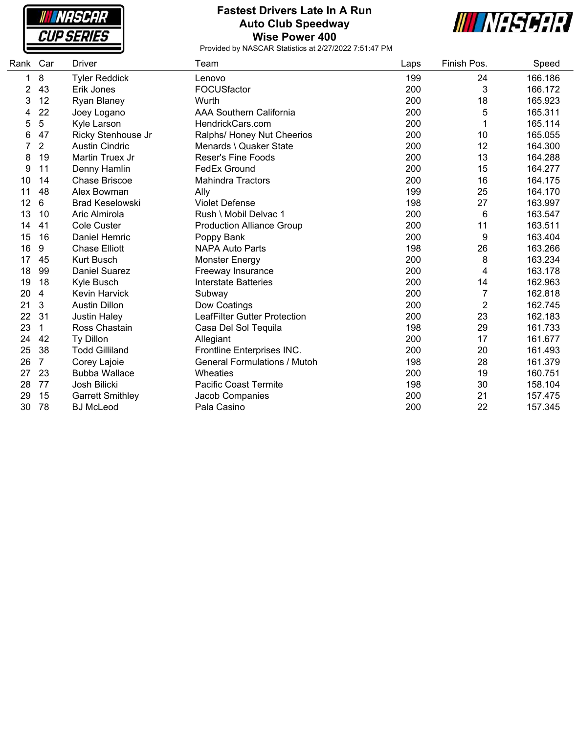

#### **Fastest Drivers Late In A Run Auto Club Speedway Wise Power 400**



| Rank | Car            | <b>Driver</b>           | Team                                | Laps | Finish Pos.    | Speed   |
|------|----------------|-------------------------|-------------------------------------|------|----------------|---------|
| 1    | 8              | <b>Tyler Reddick</b>    | Lenovo                              | 199  | 24             | 166.186 |
| 2    | 43             | Erik Jones              | FOCUSfactor                         | 200  | 3              | 166.172 |
| 3    | 12             | Ryan Blaney             | Wurth                               | 200  | 18             | 165.923 |
| 4    | 22             | Joey Logano             | <b>AAA Southern California</b>      | 200  | 5              | 165.311 |
| 5    | 5              | Kyle Larson             | HendrickCars.com                    | 200  |                | 165.114 |
| 6    | 47             | Ricky Stenhouse Jr      | Ralphs/ Honey Nut Cheerios          | 200  | 10             | 165.055 |
|      | $\overline{2}$ | <b>Austin Cindric</b>   | Menards \ Quaker State              | 200  | 12             | 164.300 |
| 8    | 19             | Martin Truex Jr         | <b>Reser's Fine Foods</b>           | 200  | 13             | 164.288 |
| 9    | 11             | Denny Hamlin            | FedEx Ground                        | 200  | 15             | 164.277 |
| 10   | 14             | <b>Chase Briscoe</b>    | <b>Mahindra Tractors</b>            | 200  | 16             | 164.175 |
| 11   | 48             | Alex Bowman             | Ally                                | 199  | 25             | 164.170 |
| 12   | 6              | <b>Brad Keselowski</b>  | <b>Violet Defense</b>               | 198  | 27             | 163.997 |
| 13   | 10             | Aric Almirola           | Rush \ Mobil Delvac 1               | 200  | 6              | 163.547 |
| 14   | 41             | <b>Cole Custer</b>      | <b>Production Alliance Group</b>    | 200  | 11             | 163.511 |
| 15   | 16             | Daniel Hemric           | Poppy Bank                          | 200  | 9              | 163.404 |
| 16   | 9              | <b>Chase Elliott</b>    | <b>NAPA Auto Parts</b>              | 198  | 26             | 163.266 |
| 17   | 45             | <b>Kurt Busch</b>       | <b>Monster Energy</b>               | 200  | 8              | 163.234 |
| 18   | 99             | <b>Daniel Suarez</b>    | Freeway Insurance                   | 200  | 4              | 163.178 |
| 19   | 18             | Kyle Busch              | Interstate Batteries                | 200  | 14             | 162.963 |
| 20   | 4              | Kevin Harvick           | Subway                              | 200  | 7              | 162.818 |
| 21   | 3              | <b>Austin Dillon</b>    | Dow Coatings                        | 200  | $\overline{2}$ | 162.745 |
| 22   | 31             | <b>Justin Haley</b>     | <b>LeafFilter Gutter Protection</b> | 200  | 23             | 162.183 |
| 23   | $\mathbf 1$    | Ross Chastain           | Casa Del Sol Tequila                | 198  | 29             | 161.733 |
| 24   | 42             | Ty Dillon               | Allegiant                           | 200  | 17             | 161.677 |
| 25   | 38             | <b>Todd Gilliland</b>   | Frontline Enterprises INC.          | 200  | 20             | 161.493 |
| 26   | $\overline{7}$ | Corey Lajoie            | <b>General Formulations / Mutoh</b> | 198  | 28             | 161.379 |
| 27   | 23             | <b>Bubba Wallace</b>    | Wheaties                            | 200  | 19             | 160.751 |
| 28   | 77             | Josh Bilicki            | <b>Pacific Coast Termite</b>        | 198  | 30             | 158.104 |
| 29   | 15             | <b>Garrett Smithley</b> | Jacob Companies                     | 200  | 21             | 157.475 |
| 30   | 78             | <b>BJ</b> McLeod        | Pala Casino                         | 200  | 22             | 157.345 |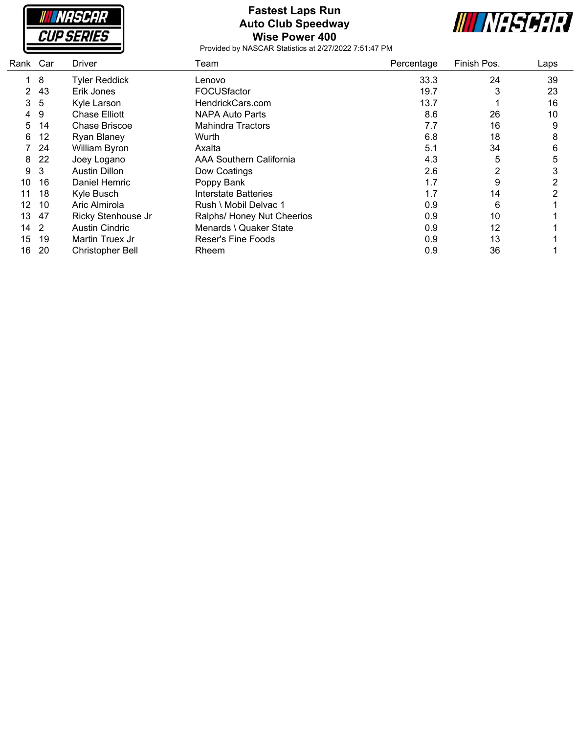

## **Fastest Laps Run Auto Club Speedway Wise Power 400**



| Rank Car |     | Driver                  | Team                       | Percentage | Finish Pos. | Laps           |
|----------|-----|-------------------------|----------------------------|------------|-------------|----------------|
|          | 8   | <b>Tyler Reddick</b>    | Lenovo                     | 33.3       | 24          | 39             |
| 2        | 43  | Erik Jones              | <b>FOCUSfactor</b>         | 19.7       | 3           | 23             |
| 3        | 5   | Kyle Larson             | HendrickCars.com           | 13.7       |             | 16             |
| 4        | 9   | <b>Chase Elliott</b>    | NAPA Auto Parts            | 8.6        | 26          | 10             |
| 5        | 14  | Chase Briscoe           | Mahindra Tractors          | 7.7        | 16          | 9              |
| 6        | 12  | <b>Ryan Blaney</b>      | Wurth                      | 6.8        | 18          | 8              |
|          | -24 | <b>William Byron</b>    | Axalta                     | 5.1        | 34          | 6              |
| 8        | 22  | Joey Logano             | AAA Southern California    | 4.3        | 5           | 5              |
| 9        | 3   | Austin Dillon           | Dow Coatings               | 2.6        | 2           | 3              |
| 10       | 16  | Daniel Hemric           | Poppy Bank                 | 1.7        | 9           | $\overline{2}$ |
| 11       | 18  | Kyle Busch              | Interstate Batteries       | 1.7        | 14          | 2              |
| 12       | 10  | Aric Almirola           | Rush \ Mobil Delvac 1      | 0.9        | 6           |                |
| 13       | 47  | Ricky Stenhouse Jr      | Ralphs/ Honey Nut Cheerios | 0.9        | 10          |                |
| 14       | -2  | <b>Austin Cindric</b>   | Menards \ Quaker State     | 0.9        | 12          |                |
| 15       | 19  | Martin Truex Jr         | <b>Reser's Fine Foods</b>  | 0.9        | 13          |                |
| 16       | 20  | <b>Christopher Bell</b> | Rheem                      | 0.9        | 36          |                |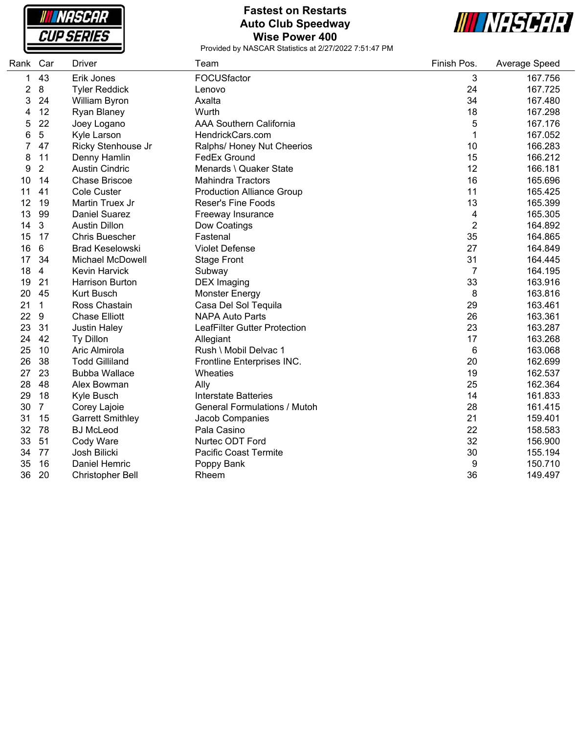

### **Fastest on Restarts Auto Club Speedway Wise Power 400**



| Rank | Car            | <b>Driver</b>           | Team                                | Finish Pos.    | Average Speed |
|------|----------------|-------------------------|-------------------------------------|----------------|---------------|
| 1    | 43             | Erik Jones              | FOCUSfactor                         | 3              | 167.756       |
| 2    | 8              | <b>Tyler Reddick</b>    | Lenovo                              | 24             | 167.725       |
| 3    | 24             | William Byron           | Axalta                              | 34             | 167.480       |
| 4    | 12             | Ryan Blaney             | Wurth                               | 18             | 167.298       |
| 5    | 22             | Joey Logano             | <b>AAA Southern California</b>      | 5              | 167.176       |
| 6    | 5              | Kyle Larson             | HendrickCars.com                    | 1              | 167.052       |
|      | 47             | Ricky Stenhouse Jr      | Ralphs/ Honey Nut Cheerios          | 10             | 166.283       |
| 8    | 11             | Denny Hamlin            | <b>FedEx Ground</b>                 | 15             | 166.212       |
| 9    | $\overline{2}$ | <b>Austin Cindric</b>   | Menards \ Quaker State              | 12             | 166.181       |
| 10   | 14             | <b>Chase Briscoe</b>    | <b>Mahindra Tractors</b>            | 16             | 165.696       |
| 11   | 41             | <b>Cole Custer</b>      | <b>Production Alliance Group</b>    | 11             | 165.425       |
| 12   | 19             | Martin Truex Jr         | <b>Reser's Fine Foods</b>           | 13             | 165.399       |
| 13   | 99             | <b>Daniel Suarez</b>    | Freeway Insurance                   | 4              | 165.305       |
| 14   | 3              | <b>Austin Dillon</b>    | Dow Coatings                        | $\overline{c}$ | 164.892       |
| 15   | 17             | <b>Chris Buescher</b>   | Fastenal                            | 35             | 164.865       |
| 16   | 6              | <b>Brad Keselowski</b>  | <b>Violet Defense</b>               | 27             | 164.849       |
| 17   | 34             | Michael McDowell        | <b>Stage Front</b>                  | 31             | 164.445       |
| 18   | $\overline{4}$ | <b>Kevin Harvick</b>    | Subway                              | 7              | 164.195       |
| 19   | 21             | Harrison Burton         | <b>DEX</b> Imaging                  | 33             | 163.916       |
| 20   | 45             | <b>Kurt Busch</b>       | <b>Monster Energy</b>               | 8              | 163.816       |
| 21   | $\mathbf{1}$   | Ross Chastain           | Casa Del Sol Tequila                | 29             | 163.461       |
| 22   | 9              | <b>Chase Elliott</b>    | <b>NAPA Auto Parts</b>              | 26             | 163.361       |
| 23   | 31             | <b>Justin Haley</b>     | LeafFilter Gutter Protection        | 23             | 163.287       |
| 24   | 42             | Ty Dillon               | Allegiant                           | 17             | 163.268       |
| 25   | 10             | Aric Almirola           | Rush \ Mobil Delvac 1               | 6              | 163.068       |
| 26   | 38             | <b>Todd Gilliland</b>   | Frontline Enterprises INC.          | 20             | 162.699       |
| 27   | 23             | <b>Bubba Wallace</b>    | Wheaties                            | 19             | 162.537       |
| 28   | 48             | Alex Bowman             | Ally                                | 25             | 162.364       |
| 29   | 18             | Kyle Busch              | <b>Interstate Batteries</b>         | 14             | 161.833       |
| 30   | $\overline{7}$ | Corey Lajoie            | <b>General Formulations / Mutoh</b> | 28             | 161.415       |
| 31   | 15             | <b>Garrett Smithley</b> | Jacob Companies                     | 21             | 159.401       |
| 32   | 78             | <b>BJ</b> McLeod        | Pala Casino                         | 22             | 158.583       |
| 33   | 51             | Cody Ware               | Nurtec ODT Ford                     | 32             | 156.900       |
| 34   | 77             | Josh Bilicki            | Pacific Coast Termite               | 30             | 155.194       |
| 35   | 16             | Daniel Hemric           | Poppy Bank                          | 9              | 150.710       |
| 36   | 20             | <b>Christopher Bell</b> | Rheem                               | 36             | 149.497       |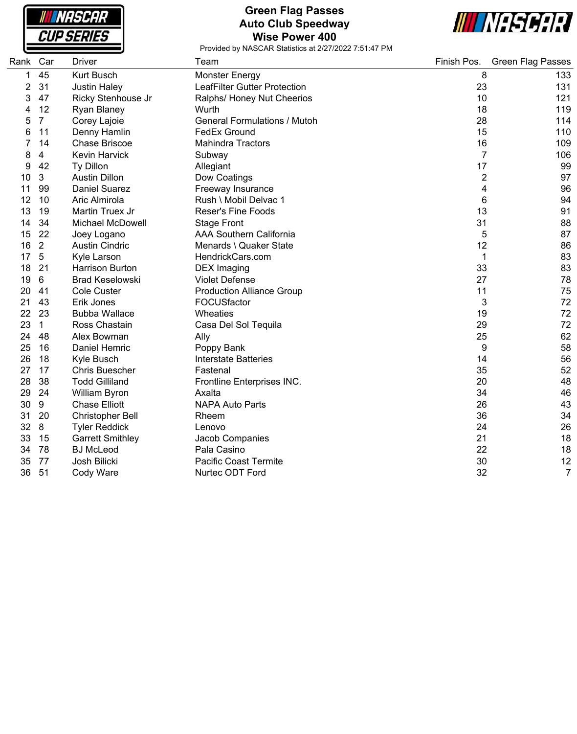**NASCAR CUP SERIES** 

#### **Green Flag Passes Auto Club Speedway Wise Power 400**



| Rank Car       |                | <b>Driver</b>           | Team                                | Finish Pos.    | <b>Green Flag Passes</b> |
|----------------|----------------|-------------------------|-------------------------------------|----------------|--------------------------|
| 1              | 45             | Kurt Busch              | Monster Energy                      | 8              | 133                      |
| $\overline{2}$ | 31             | <b>Justin Haley</b>     | <b>LeafFilter Gutter Protection</b> | 23             | 131                      |
| 3              | 47             | Ricky Stenhouse Jr      | Ralphs/ Honey Nut Cheerios          | 10             | 121                      |
| 4              | 12             | Ryan Blaney             | Wurth                               | 18             | 119                      |
| 5              | $\overline{7}$ | Corey Lajoie            | <b>General Formulations / Mutoh</b> | 28             | 114                      |
| 6              | 11             | Denny Hamlin            | <b>FedEx Ground</b>                 | 15             | 110                      |
|                | 14             | <b>Chase Briscoe</b>    | <b>Mahindra Tractors</b>            | 16             | 109                      |
| 8              | 4              | Kevin Harvick           | Subway                              | $\overline{7}$ | 106                      |
| 9              | 42             | Ty Dillon               | Allegiant                           | 17             | 99                       |
| 10             | 3              | <b>Austin Dillon</b>    | Dow Coatings                        | $\overline{2}$ | 97                       |
| 11             | 99             | <b>Daniel Suarez</b>    | Freeway Insurance                   | 4              | 96                       |
| 12             | 10             | Aric Almirola           | Rush \ Mobil Delvac 1               | 6              | 94                       |
| 13             | 19             | Martin Truex Jr         | <b>Reser's Fine Foods</b>           | 13             | 91                       |
| 14             | 34             | <b>Michael McDowell</b> | <b>Stage Front</b>                  | 31             | 88                       |
| 15             | 22             | Joey Logano             | <b>AAA Southern California</b>      | 5              | 87                       |
| 16             | $\overline{2}$ | <b>Austin Cindric</b>   | Menards \ Quaker State              | 12             | 86                       |
| 17             | $5\phantom{1}$ | Kyle Larson             | HendrickCars.com                    | 1              | 83                       |
| 18             | 21             | <b>Harrison Burton</b>  | <b>DEX</b> Imaging                  | 33             | 83                       |
| 19             | 6              | <b>Brad Keselowski</b>  | <b>Violet Defense</b>               | 27             | 78                       |
| 20             | 41             | <b>Cole Custer</b>      | <b>Production Alliance Group</b>    | 11             | 75                       |
| 21             | 43             | Erik Jones              | FOCUSfactor                         | 3              | 72                       |
| 22             | 23             | <b>Bubba Wallace</b>    | Wheaties                            | 19             | 72                       |
| 23             | $\mathbf{1}$   | Ross Chastain           | Casa Del Sol Tequila                | 29             | 72                       |
| 24             | 48             | Alex Bowman             | Ally                                | 25             | 62                       |
| 25             | 16             | Daniel Hemric           | Poppy Bank                          | 9              | 58                       |
| 26             | 18             | Kyle Busch              | <b>Interstate Batteries</b>         | 14             | 56                       |
| 27             | 17             | <b>Chris Buescher</b>   | Fastenal                            | 35             | 52                       |
| 28             | 38             | <b>Todd Gilliland</b>   | Frontline Enterprises INC.          | 20             | 48                       |
| 29             | 24             | William Byron           | Axalta                              | 34             | 46                       |
| 30             | 9              | <b>Chase Elliott</b>    | <b>NAPA Auto Parts</b>              | 26             | 43                       |
| 31             | 20             | Christopher Bell        | Rheem                               | 36             | 34                       |
| 32             | 8              | <b>Tyler Reddick</b>    | Lenovo                              | 24             | 26                       |
| 33             | 15             | <b>Garrett Smithley</b> | Jacob Companies                     | 21             | 18                       |
| 34             | 78             | <b>BJ</b> McLeod        | Pala Casino                         | 22             | 18                       |
| 35             | 77             | Josh Bilicki            | <b>Pacific Coast Termite</b>        | 30             | 12                       |
| 36             | 51             | Cody Ware               | Nurtec ODT Ford                     | 32             | $\overline{7}$           |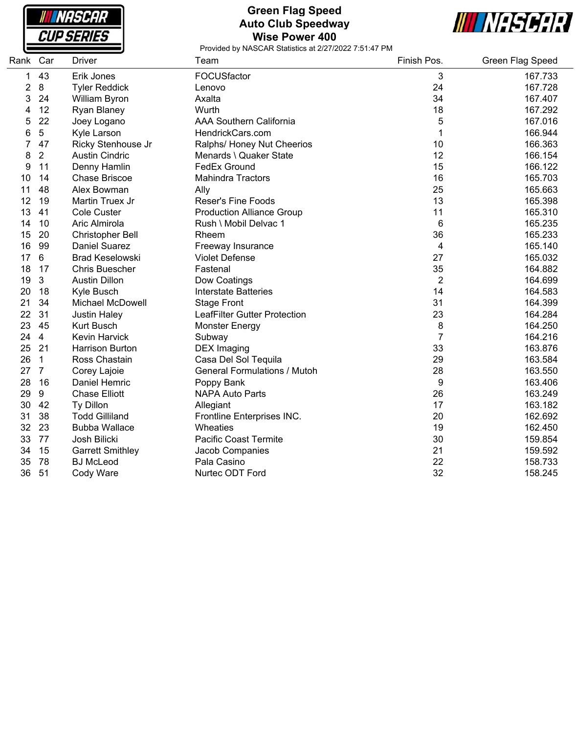| <i><b>INASCAR</b></i> |
|-----------------------|
| <i>CUP SERIES</i>     |

### **Green Flag Speed Auto Club Speedway Wise Power 400**



| Rank | Car              | <b>Driver</b>           | Team                                | Finish Pos.    | Green Flag Speed |
|------|------------------|-------------------------|-------------------------------------|----------------|------------------|
| 1    | 43               | Erik Jones              | FOCUSfactor                         | 3              | 167.733          |
| 2    | 8                | <b>Tyler Reddick</b>    | Lenovo                              | 24             | 167.728          |
| 3    | 24               | William Byron           | Axalta                              | 34             | 167.407          |
| 4    | 12               | Ryan Blaney             | Wurth                               | 18             | 167.292          |
| 5    | 22               | Joey Logano             | <b>AAA Southern California</b>      | 5              | 167.016          |
| 6    | 5                | Kyle Larson             | HendrickCars.com                    | 1              | 166.944          |
|      | 47               | Ricky Stenhouse Jr      | Ralphs/ Honey Nut Cheerios          | 10             | 166.363          |
| 8    | $\overline{2}$   | <b>Austin Cindric</b>   | Menards \ Quaker State              | 12             | 166.154          |
| 9    | 11               | Denny Hamlin            | FedEx Ground                        | 15             | 166.122          |
| 10   | 14               | <b>Chase Briscoe</b>    | <b>Mahindra Tractors</b>            | 16             | 165.703          |
| 11   | 48               | Alex Bowman             | Ally                                | 25             | 165.663          |
| 12   | 19               | Martin Truex Jr         | <b>Reser's Fine Foods</b>           | 13             | 165.398          |
| 13   | 41               | Cole Custer             | <b>Production Alliance Group</b>    | 11             | 165.310          |
| 14   | 10               | Aric Almirola           | Rush \ Mobil Delvac 1               | 6              | 165.235          |
| 15   | 20               | Christopher Bell        | Rheem                               | 36             | 165.233          |
| 16   | 99               | <b>Daniel Suarez</b>    | Freeway Insurance                   | 4              | 165.140          |
| 17   | 6                | <b>Brad Keselowski</b>  | <b>Violet Defense</b>               | 27             | 165.032          |
| 18   | 17               | <b>Chris Buescher</b>   | Fastenal                            | 35             | 164.882          |
| 19   | 3                | <b>Austin Dillon</b>    | Dow Coatings                        | $\overline{2}$ | 164.699          |
| 20   | 18               | Kyle Busch              | <b>Interstate Batteries</b>         | 14             | 164.583          |
| 21   | 34               | <b>Michael McDowell</b> | <b>Stage Front</b>                  | 31             | 164.399          |
| 22   | 31               | <b>Justin Haley</b>     | LeafFilter Gutter Protection        | 23             | 164.284          |
| 23   | 45               | <b>Kurt Busch</b>       | <b>Monster Energy</b>               | 8              | 164.250          |
| 24   | $\overline{4}$   | <b>Kevin Harvick</b>    | Subway                              | $\overline{7}$ | 164.216          |
| 25   | 21               | <b>Harrison Burton</b>  | <b>DEX</b> Imaging                  | 33             | 163.876          |
| 26   | $\mathbf{1}$     | Ross Chastain           | Casa Del Sol Tequila                | 29             | 163.584          |
| 27   | $\overline{7}$   | Corey Lajoie            | <b>General Formulations / Mutoh</b> | 28             | 163.550          |
| 28   | 16               | Daniel Hemric           | Poppy Bank                          | 9              | 163.406          |
| 29   | $\boldsymbol{9}$ | <b>Chase Elliott</b>    | <b>NAPA Auto Parts</b>              | 26             | 163.249          |
| 30   | 42               | Ty Dillon               | Allegiant                           | 17             | 163.182          |
| 31   | 38               | <b>Todd Gilliland</b>   | Frontline Enterprises INC.          | 20             | 162.692          |
| 32   | 23               | <b>Bubba Wallace</b>    | Wheaties                            | 19             | 162.450          |
| 33   | 77               | Josh Bilicki            | Pacific Coast Termite               | 30             | 159.854          |
| 34   | 15               | <b>Garrett Smithley</b> | Jacob Companies                     | 21             | 159.592          |
| 35   | 78               | <b>BJ McLeod</b>        | Pala Casino                         | 22             | 158.733          |
| 36   | 51               | Cody Ware               | Nurtec ODT Ford                     | 32             | 158.245          |
|      |                  |                         |                                     |                |                  |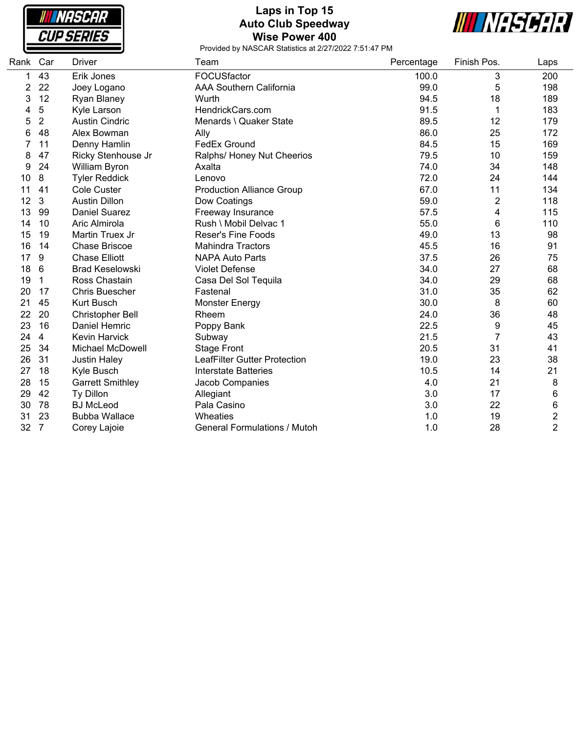

### **Laps in Top 15 Auto Club Speedway Wise Power 400**



| Rank | Car            | <b>Driver</b>           | Team                                | Percentage | Finish Pos.    | Laps                    |
|------|----------------|-------------------------|-------------------------------------|------------|----------------|-------------------------|
| 1    | 43             | Erik Jones              | FOCUSfactor                         | 100.0      | 3              | 200                     |
| 2    | 22             | Joey Logano             | <b>AAA Southern California</b>      | 99.0       | 5              | 198                     |
| 3    | 12             | Ryan Blaney             | Wurth                               | 94.5       | 18             | 189                     |
| 4    | 5              | Kyle Larson             | HendrickCars.com                    | 91.5       | 1              | 183                     |
| 5    | $\overline{2}$ | <b>Austin Cindric</b>   | Menards \ Quaker State              | 89.5       | 12             | 179                     |
| 6    | 48             | Alex Bowman             | Ally                                | 86.0       | 25             | 172                     |
|      | 11             | Denny Hamlin            | <b>FedEx Ground</b>                 | 84.5       | 15             | 169                     |
| 8    | 47             | Ricky Stenhouse Jr      | Ralphs/ Honey Nut Cheerios          | 79.5       | 10             | 159                     |
| 9    | 24             | William Byron           | Axalta                              | 74.0       | 34             | 148                     |
| 10   | 8              | <b>Tyler Reddick</b>    | Lenovo                              | 72.0       | 24             | 144                     |
| 11   | 41             | <b>Cole Custer</b>      | <b>Production Alliance Group</b>    | 67.0       | 11             | 134                     |
| 12   | 3              | <b>Austin Dillon</b>    | Dow Coatings                        | 59.0       | $\overline{c}$ | 118                     |
| 13   | 99             | <b>Daniel Suarez</b>    | Freeway Insurance                   | 57.5       | 4              | 115                     |
| 14   | 10             | Aric Almirola           | Rush \ Mobil Delvac 1               | 55.0       | 6              | 110                     |
| 15   | 19             | Martin Truex Jr         | <b>Reser's Fine Foods</b>           | 49.0       | 13             | 98                      |
| 16   | 14             | Chase Briscoe           | <b>Mahindra Tractors</b>            | 45.5       | 16             | 91                      |
| 17   | 9              | <b>Chase Elliott</b>    | <b>NAPA Auto Parts</b>              | 37.5       | 26             | 75                      |
| 18   | $\,6$          | <b>Brad Keselowski</b>  | <b>Violet Defense</b>               | 34.0       | 27             | 68                      |
| 19   | 1              | Ross Chastain           | Casa Del Sol Tequila                | 34.0       | 29             | 68                      |
| 20   | 17             | <b>Chris Buescher</b>   | Fastenal                            | 31.0       | 35             | 62                      |
| 21   | 45             | <b>Kurt Busch</b>       | <b>Monster Energy</b>               | 30.0       | 8              | 60                      |
| 22   | 20             | Christopher Bell        | Rheem                               | 24.0       | 36             | 48                      |
| 23   | 16             | Daniel Hemric           | Poppy Bank                          | 22.5       | 9              | 45                      |
| 24   | $\overline{4}$ | <b>Kevin Harvick</b>    | Subway                              | 21.5       | 7              | 43                      |
| 25   | 34             | <b>Michael McDowell</b> | <b>Stage Front</b>                  | 20.5       | 31             | 41                      |
| 26   | 31             | <b>Justin Haley</b>     | LeafFilter Gutter Protection        | 19.0       | 23             | 38                      |
| 27   | 18             | Kyle Busch              | <b>Interstate Batteries</b>         | 10.5       | 14             | 21                      |
| 28   | 15             | <b>Garrett Smithley</b> | Jacob Companies                     | 4.0        | 21             | 8                       |
| 29   | 42             | Ty Dillon               | Allegiant                           | 3.0        | 17             | 6                       |
| 30   | 78             | <b>BJ</b> McLeod        | Pala Casino                         | 3.0        | 22             | 6                       |
| 31   | 23             | <b>Bubba Wallace</b>    | Wheaties                            | 1.0        | 19             | $\overline{\mathbf{c}}$ |
| 32   | $\overline{7}$ | Corey Lajoie            | <b>General Formulations / Mutoh</b> | 1.0        | 28             | $\overline{2}$          |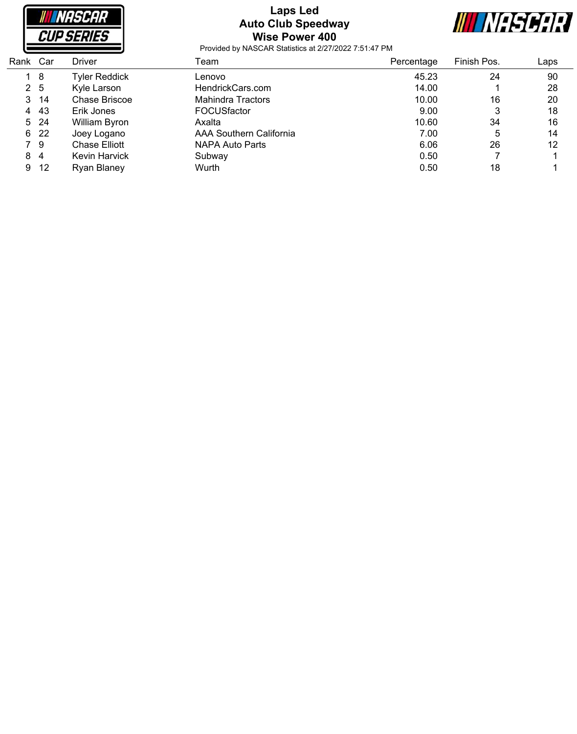

### **Laps Led Auto Club Speedway Wise Power 400**



| Rank | Car | Driver               | Геаm                    | Percentage | Finish Pos. | Laps |
|------|-----|----------------------|-------------------------|------------|-------------|------|
|      | - 8 | <b>Tyler Reddick</b> | Lenovo                  | 45.23      | 24          | 90   |
| 2 5  |     | Kyle Larson          | HendrickCars.com        | 14.00      |             | 28   |
| 3.   | -14 | Chase Briscoe        | Mahindra Tractors       | 10.00      | 16          | 20   |
| 4    | 43  | Erik Jones           | <b>FOCUSfactor</b>      | 9.00       | 3           | 18   |
| 5    | -24 | William Byron        | Axalta                  | 10.60      | 34          | 16   |
| 6.   | -22 | Joey Logano          | AAA Southern California | 7.00       | 5           | 14   |
|      | 79  | <b>Chase Elliott</b> | NAPA Auto Parts         | 6.06       | 26          | 12   |
| 8    | 4   | Kevin Harvick        | Subway                  | 0.50       |             |      |
| 9    | -12 | <b>Ryan Blaney</b>   | Wurth                   | 0.50       | 18          |      |
|      |     |                      |                         |            |             |      |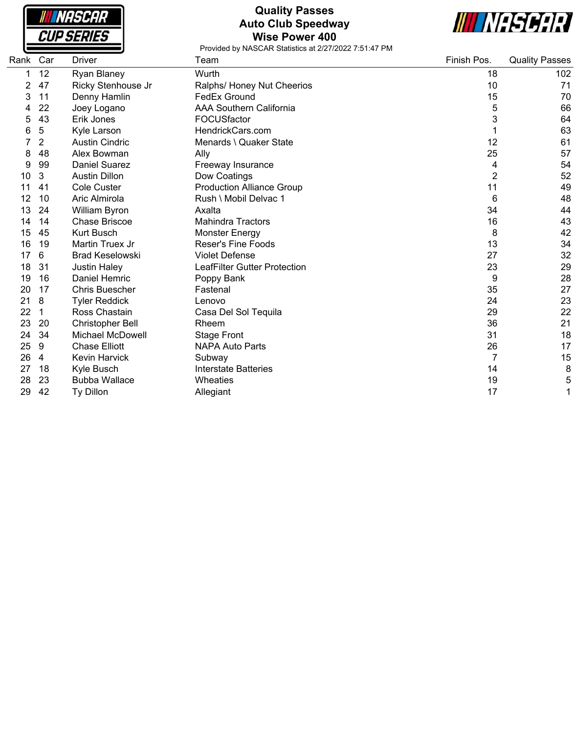

## **Quality Passes Auto Club Speedway Wise Power 400**



| Rank | Car | Driver                  | Team                                | Finish Pos.    | <b>Quality Passes</b> |
|------|-----|-------------------------|-------------------------------------|----------------|-----------------------|
|      | 12  | Ryan Blaney             | Wurth                               | 18             | 102                   |
| 2    | 47  | Ricky Stenhouse Jr      | Ralphs/ Honey Nut Cheerios          | 10             | 71                    |
| 3    | 11  | Denny Hamlin            | FedEx Ground                        | 15             | 70                    |
|      | 22  | Joey Logano             | <b>AAA Southern California</b>      | 5              | 66                    |
| 5    | 43  | Erik Jones              | FOCUSfactor                         | 3              | 64                    |
| 6    | 5   | Kyle Larson             | HendrickCars.com                    |                | 63                    |
|      | 2   | <b>Austin Cindric</b>   | Menards \ Quaker State              | 12             | 61                    |
| 8    | 48  | Alex Bowman             | Ally                                | 25             | 57                    |
| 9    | 99  | <b>Daniel Suarez</b>    | Freeway Insurance                   | 4              | 54                    |
| 10   | 3   | <b>Austin Dillon</b>    | Dow Coatings                        | $\overline{2}$ | 52                    |
| 11   | 41  | Cole Custer             | <b>Production Alliance Group</b>    | 11             | 49                    |
| 12   | 10  | Aric Almirola           | Rush \ Mobil Delvac 1               | 6              | 48                    |
| 13   | 24  | William Byron           | Axalta                              | 34             | 44                    |
| 14   | 14  | <b>Chase Briscoe</b>    | <b>Mahindra Tractors</b>            | 16             | 43                    |
| 15   | 45  | <b>Kurt Busch</b>       | <b>Monster Energy</b>               | 8              | 42                    |
| 16   | 19  | Martin Truex Jr         | <b>Reser's Fine Foods</b>           | 13             | 34                    |
| 17   | 6   | <b>Brad Keselowski</b>  | <b>Violet Defense</b>               | 27             | 32                    |
| 18   | 31  | <b>Justin Haley</b>     | <b>LeafFilter Gutter Protection</b> | 23             | 29                    |
| 19   | 16  | Daniel Hemric           | Poppy Bank                          | 9              | 28                    |
| 20   | 17  | <b>Chris Buescher</b>   | Fastenal                            | 35             | 27                    |
| 21   | 8   | <b>Tyler Reddick</b>    | Lenovo                              | 24             | 23                    |
| 22   | 1   | Ross Chastain           | Casa Del Sol Tequila                | 29             | 22                    |
| 23   | 20  | Christopher Bell        | Rheem                               | 36             | 21                    |
| 24   | 34  | <b>Michael McDowell</b> | <b>Stage Front</b>                  | 31             | 18                    |
| 25   | 9   | <b>Chase Elliott</b>    | <b>NAPA Auto Parts</b>              | 26             | 17                    |
| 26   | 4   | <b>Kevin Harvick</b>    | Subway                              | 7              | 15                    |
| 27   | 18  | Kyle Busch              | <b>Interstate Batteries</b>         | 14             | 8                     |
| 28   | 23  | <b>Bubba Wallace</b>    | Wheaties                            | 19             | 5                     |
| 29   | 42  | <b>Ty Dillon</b>        | Allegiant                           | 17             | 1                     |